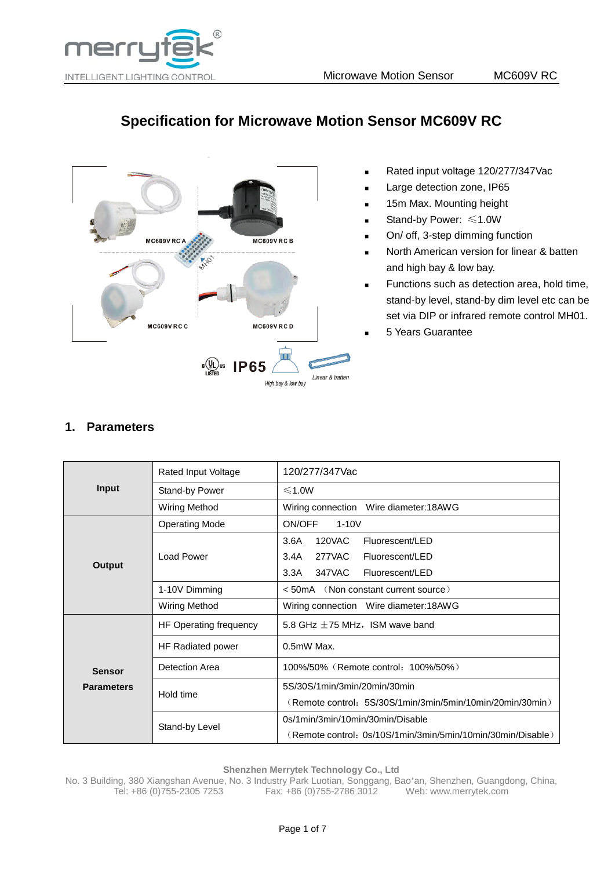

# **Specification for Microwave Motion Sensor MC609V RC**



- Rated input voltage 120/277/347Vac
- Large detection zone, IP65
- 15m Max. Mounting height
- Stand-by Power: ≤1.0W
- On/ off, 3-step dimming function
- North American version for linear & batten and high bay & low bay.
- Functions such as detection area, hold time, stand-by level, stand-by dim level etc can be set via DIP or infrared remote control MH01.
- 5 Years Guarantee

## **1. Parameters**

|                   | Rated Input Voltage      | 120/277/347Vac                                              |  |
|-------------------|--------------------------|-------------------------------------------------------------|--|
| <b>Input</b>      | Stand-by Power           | ≤1.0W                                                       |  |
|                   | Wiring Method            | Wiring connection Wire diameter:18AWG                       |  |
|                   | <b>Operating Mode</b>    | ON/OFF<br>$1-10V$                                           |  |
|                   |                          | <b>120VAC</b><br>3.6A<br>Fluorescent/LED                    |  |
|                   | Load Power               | 277VAC<br>3.4A<br>Fluorescent/LED                           |  |
| Output            |                          | 347VAC<br>3.3A<br>Fluorescent/LED                           |  |
|                   | 1-10V Dimming            | $<$ 50 mA $\left(\right)$ (Non constant current source)     |  |
|                   | <b>Wiring Method</b>     | Wiring connection Wire diameter: 18AWG                      |  |
|                   | HF Operating frequency   | 5.8 GHz $\pm$ 75 MHz, ISM wave band                         |  |
|                   | <b>HF Radiated power</b> | $0.5mW$ Max.                                                |  |
| <b>Sensor</b>     | Detection Area           | 100%/50% (Remote control: 100%/50%)                         |  |
| <b>Parameters</b> | Hold time                | 5S/30S/1min/3min/20min/30min                                |  |
|                   |                          | (Remote control: 5S/30S/1min/3min/5min/10min/20min/30min)   |  |
|                   |                          | 0s/1min/3min/10min/30min/Disable                            |  |
|                   | Stand-by Level           | (Remote control: 0s/10S/1min/3min/5min/10min/30min/Disable) |  |

**Shenzhen Merrytek Technology Co., Ltd**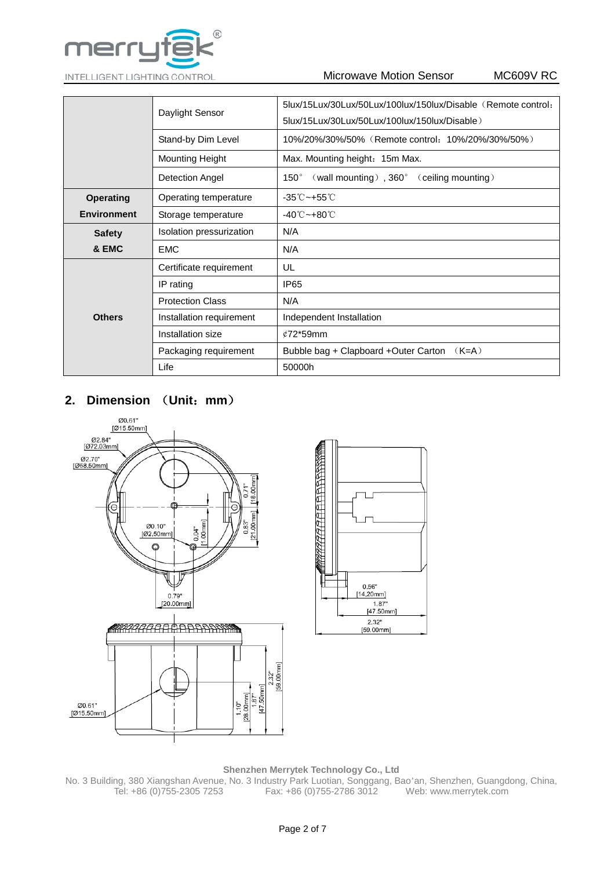

|                    | Daylight Sensor          | 5lux/15Lux/30Lux/50Lux/100lux/150lux/Disable (Remote control:<br>5lux/15Lux/30Lux/50Lux/100lux/150lux/Disable) |  |  |
|--------------------|--------------------------|----------------------------------------------------------------------------------------------------------------|--|--|
|                    | Stand-by Dim Level       | 10%/20%/30%/50% (Remote control: 10%/20%/30%/50%)                                                              |  |  |
|                    | <b>Mounting Height</b>   | Max. Mounting height: 15m Max.                                                                                 |  |  |
|                    | Detection Angel          | (wall mounting), 360° (ceiling mounting)<br>$150^\circ$                                                        |  |  |
| <b>Operating</b>   | Operating temperature    | $-35^{\circ}$ C $-+55^{\circ}$ C                                                                               |  |  |
| <b>Environment</b> | Storage temperature      | -40℃~+80℃                                                                                                      |  |  |
| <b>Safety</b>      | Isolation pressurization | N/A                                                                                                            |  |  |
| & EMC              | <b>EMC</b>               | N/A                                                                                                            |  |  |
|                    | Certificate requirement  | UL                                                                                                             |  |  |
|                    | IP rating                | IP <sub>65</sub>                                                                                               |  |  |
|                    | <b>Protection Class</b>  | N/A                                                                                                            |  |  |
| <b>Others</b>      | Installation requirement | Independent Installation                                                                                       |  |  |
|                    | Installation size        | $¢72*59mm$                                                                                                     |  |  |
|                    | Packaging requirement    | Bubble bag + Clapboard +Outer Carton $(K=A)$                                                                   |  |  |
|                    | Life                     | 50000h                                                                                                         |  |  |

# **2. Dimension** (**Unit**:**mm**)





### **Shenzhen Merrytek Technology Co., Ltd**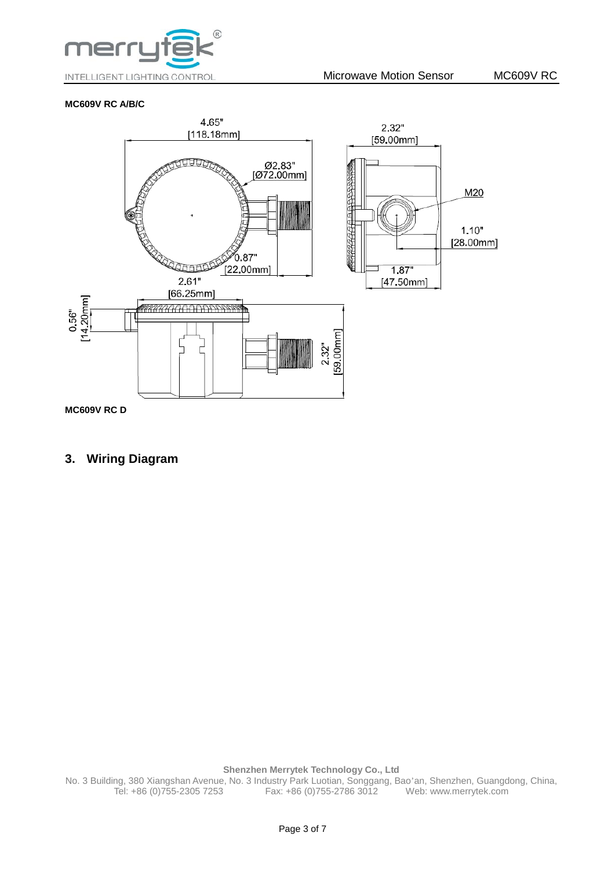

### **MC609V RC A/B/C**



## **3. Wiring Diagram**

**Shenzhen Merrytek Technology Co., Ltd**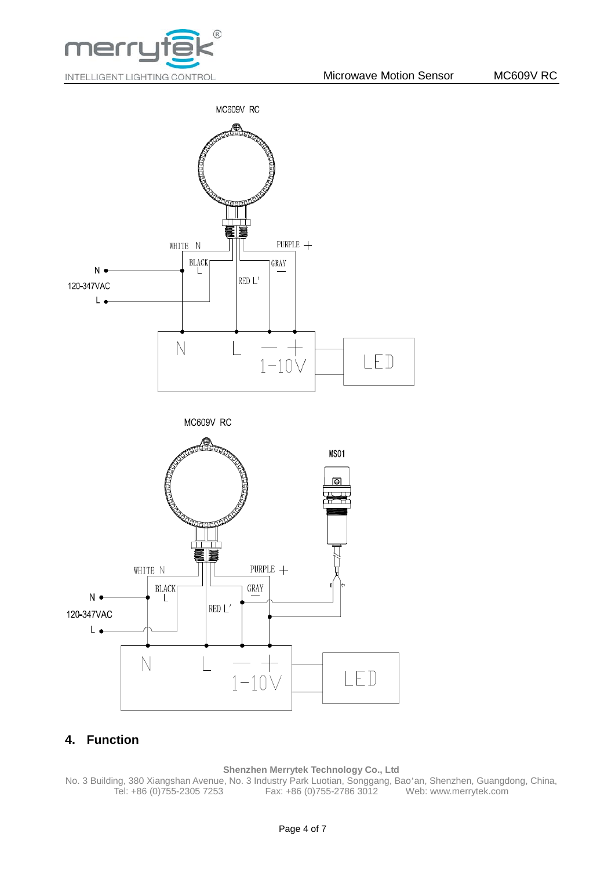





## **4. Function**

### **Shenzhen Merrytek Technology Co., Ltd**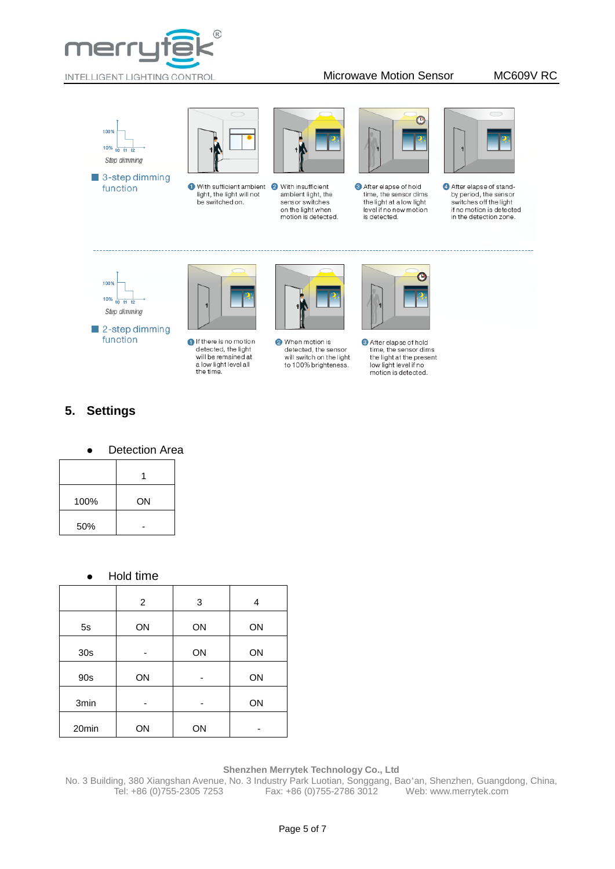





With sufficient ambient 2 With insufficient light, the light will not be switched on.



ambient light, the sensor switches on the light when motion is detected.



After elapse of hold time, the sensor dims the light at a low light level if no new motion is detected.



After elapse of standby period, the sensor switches off the light<br>if no motion is detected in the detection zone.





If there is no motion detected, the light<br>will be remained at a low light level all<br>the time.



When motion is detected, the sensor<br>will switch on the light to 100% brighteness.



After elapse of hold time, the sensor dims<br>the light at the present low light level if no motion is detected.

# **5. Settings**

Detection Area

| 100% | ON |
|------|----|
| 50%  |    |

### Hold time

|       | 2  | 3  | 4  |
|-------|----|----|----|
| 5s    | ON | ON | ON |
| 30s   |    | ON | ON |
| 90s   | ON |    | ON |
| 3min  |    |    | ON |
| 20min | ON | ON |    |

### **Shenzhen Merrytek Technology Co., Ltd**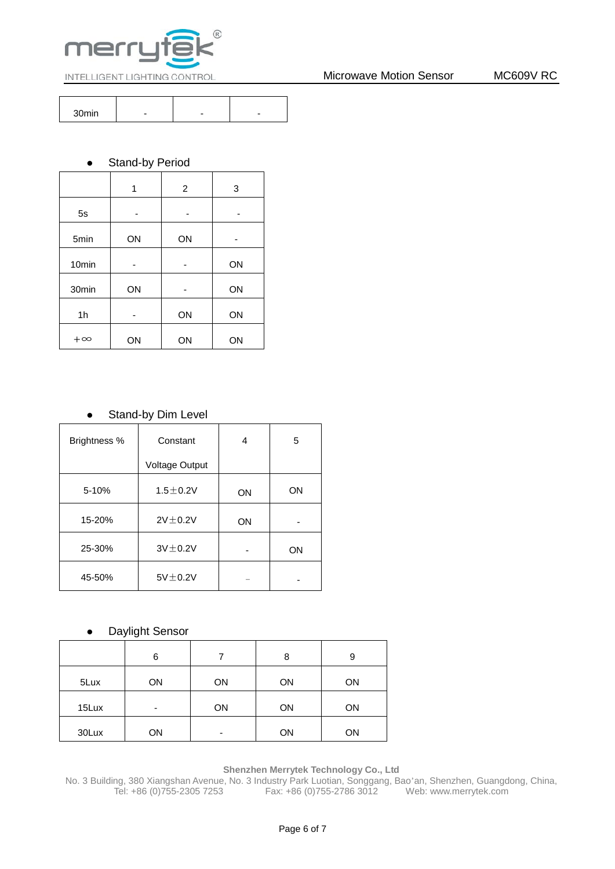

|  | - |  |
|--|---|--|

### • Stand-by Period

|                   | 1  | 2  | 3  |
|-------------------|----|----|----|
| 5s                |    |    |    |
| 5min              | ON | ON |    |
| 10 <sub>min</sub> |    |    | ON |
| 30min             | ON |    | ON |
| 1h                |    | ON | ON |
| $+\infty$         | ON | ON | ON |

## • Stand-by Dim Level

| Brightness % | Constant              |    | 5  |
|--------------|-----------------------|----|----|
|              | <b>Voltage Output</b> |    |    |
| 5-10%        | $1.5 \pm 0.2V$        | ON | ON |
| 15-20%       | $2V \pm 0.2V$         | ON |    |
| 25-30%       | $3V \pm 0.2V$         |    | ON |
| 45-50%       | $5V \pm 0.2V$         |    |    |

### Daylight Sensor

|       | 6  |    | 8  | 9  |
|-------|----|----|----|----|
| 5Lux  | ON | ON | ON | ON |
| 15Lux | ٠  | ON | ON | ON |
| 30Lux | ON | ۰  | ON | ON |

### **Shenzhen Merrytek Technology Co., Ltd**